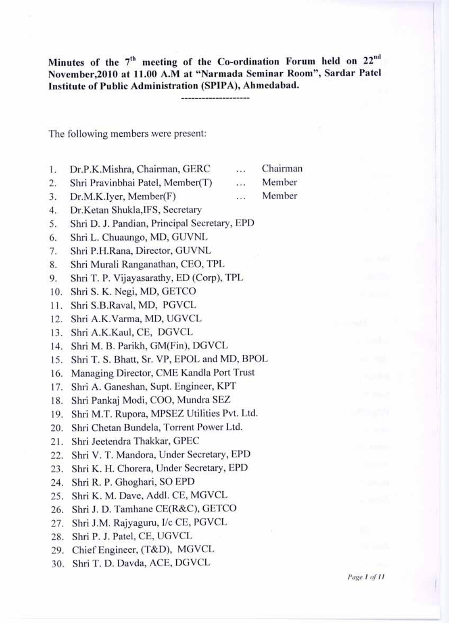Minutes of the 7<sup>th</sup> meeting of the Co-ordination Forum held on 22<sup>nd</sup>  **November,2010 at 11.00 A.M at "Narmada Seminar Room", Sardar Patel Institute of Public Administration (SPIPA), Ahmedabad.** 

The following members were present:

- 1. Dr.P.K.Mishra, Chairman, GERC ... Chairman 2. Shri Pravinbhai Patel, Member(T) ... Member
- 3. Dr.M.K.Iyer, Member(F) ... Member
- 4. Dr.Ketan Shukla,IFS, Secretary
- 5. Shri D. J. Pandian, Principal Secretary, EPD
- 6. Shri L. Chuaungo, MD, GUVNL
- 7. Shri P.H.Rana, Director, GUVNL
- 8. Shri Murali Ranganathan, CEO, TPL
- 9. Shri T. P. Vijayasarathy, ED (Corp), TPL
- 10. Shri S. K. Negi, MD, GETCO
- 11. Shri S.B.Raval, MD, PGVCL
- 12. Shri A.K.Varma, MD, UGVCL
- 13. Shri A.K.Kaul, CE, DGVCL
- 14. Shri M. B. Parikh, GM(Fin), DGVCL
- 15. Shri T. S. Bhatt, Sr. VP, EPOL and MD, BPOL
- 16. Managing Director, CME Kandla Port Trust
- 17. Shri A. Ganeshan, Supt. Engineer, KPT
- 18. Shri Pankaj Modi, COO, Mundra SEZ
- 19. Shri M.T. Rupora, MPSEZ Utilities Pvt. Ltd.
- 20. Shri Chetan Bundela, Torrent Power Ltd.
- 21. Shri Jeetendra Thakkar, GPEC
- 22. Shri V. T. Mandora, Under Secretary, EPD
- 23. Shri K. H. Chorera, Under Secretary, EPD
- 24. Shri R. P. Ghoghari, SO EPD
- 25. Shri K. M. Dave, Addl. CE, MGVCL
- 26. Shri J. D. Tamhane CE(R&C), GETCO
- 27. Shri J.M. Rajyaguru, I/c CE, PGVCL
- 28. Shri P. J. Patel, CE, UGVCL
- 29. Chief Engineer, (T&D), MGVCL
- 30. Shri T. D. Davda, ACE, DGVCL

*Page 1 of 11*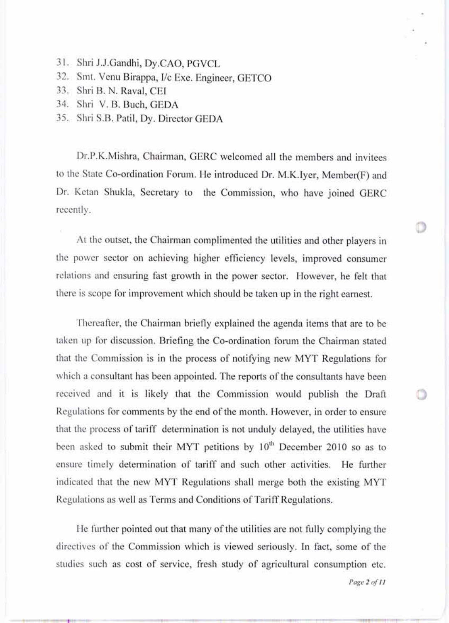- 31. Shri J.J.Gandhi, Dy.CAO, PGVCL
- 32. Smt. Venu Birappa, I/c Exe. Engineer, GETCO
- 33. Shri B. N. Raval, CEI

,41

- 34. Shri V. B. Buch, GEDA
- 35. Shri S.B. Patil, Dy. Director GEDA

Dr.P.K.Mishra, Chairman, GERC welcomed all the members and invitees to the State Co-ordination Forum. He introduced Dr. M.K.Iyer, Member(F) and Dr. Ketan Shukla, Secretary to the Commission, who have joined GERC recently.

At the outset, the Chairman complimented the utilities and other players in the power sector on achieving higher efficiency levels, improved consumer relations and ensuring fast growth in the power sector. However, he felt that there is scope for improvement which should be taken up in the right earnest.

Thereafter, the Chairman briefly explained the agenda items that are to be taken up for discussion. Briefing the Co-ordination forum the Chairman stated that the Commission is in the process of notifying new MYT Regulations for which a consultant has been appointed. The reports of the consultants have been received and it is likely that the Commission would publish the Draft Regulations for comments by the end of the month. However, in order to ensure that the process of tariff determination is not unduly delayed, the utilities have been asked to submit their MYT petitions by  $10<sup>th</sup>$  December 2010 so as to ensure timely determination of tariff and such other activities. He further indicated that the new MYT Regulations shall merge both the existing MYT Regulations as well as Terms and Conditions of Tariff Regulations.

He further pointed out that many of the utilities are not fully complying the directives of the Commission which is viewed seriously. In fact, some of the studies such as cost of service, fresh study of agricultural consumption etc.

*Page 2 of 11*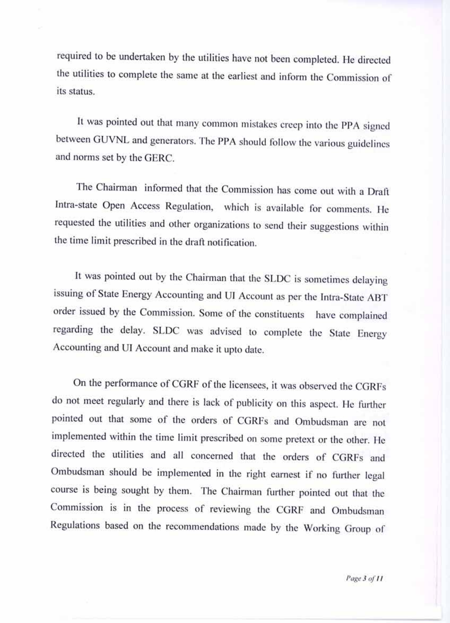required to be undertaken by the utilities have not been completed. He directed the utilities to complete the same at the earliest and inform the Commission of its status.

It was pointed out that many common mistakes creep into the PPA signed between GUVNL and generators. The PPA should follow the various guidelines and norms set by the GERC.

The Chairman informed that the Commission has come out with a Draft Intra-state Open Access Regulation, which is available for comments. He requested the utilities and other organizations to send their suggestions within the time limit prescribed in the draft notification.

It was pointed out by the Chairman that the SLDC is sometimes delaying issuing of State Energy Accounting and UI Account as per the Intra-State ABT order issued by the Commission. Some of the constituents have complained regarding the delay. SLDC was advised to complete the State Energy Accounting and UI Account and make it upto date.

On the performance of CGRF of the licensees, it was observed the CGRFs do not meet regularly and there is lack of publicity on this aspect. He further pointed out that some of the orders of CGRFs and Ombudsman are not implemented within the time limit prescribed on some pretext or the other. He directed the utilities and all concerned that the orders of CGRFs and Ombudsman should be implemented in the right earnest if no further legal course is being sought by them. The Chairman further pointed out that the Commission is in the process of reviewing the CGRF and Ombudsman Regulations based on the recommendations made by the Working Group of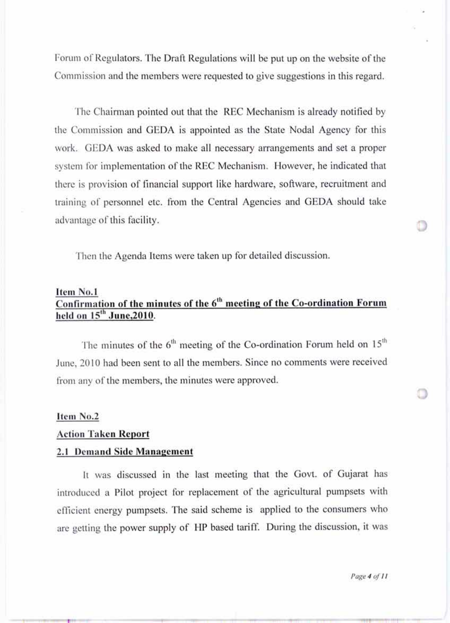Forum of Regulators. The Draft Regulations will be put up on the website of the Commission and the members were requested to give suggestions in this regard.

The Chairman pointed out that the REC Mechanism is already notified by the Commission and GEDA is appointed as the State Nodal Agency for this work. GEDA was asked to make all necessary arrangements and set a proper system for implementation of the REC Mechanism. However, he indicated that there is provision of financial support like hardware, software, recruitment and training of personnel etc. from the Central Agencies and GEDA should take advantage of this facility.

Then the Agenda Items were taken up for detailed discussion.

# **Item No.1 Confirmation of the minutes of the 6<sup>th</sup> meeting of the Co-ordination Forum** held on 15<sup>th</sup> June, 2010.

The minutes of the  $6<sup>th</sup>$  meeting of the Co-ordination Forum held on  $15<sup>th</sup>$  June, 2010 had been sent to all the members. Since no comments were received from any of the members, the minutes were approved.

#### **Item No.2**

#### **Action Taken Report**

#### **2.1 Demand Side Management**

It was discussed in the last meeting that the Govt. of Gujarat has introduced a Pilot project for replacement of the agricultural pumpsets with efficient energy pumpsets. The said scheme is applied to the consumers who are getting the power supply of HP based tariff. During the discussion, it was

*Page 4 of 11* 

.1. II 011411 4.4.101,1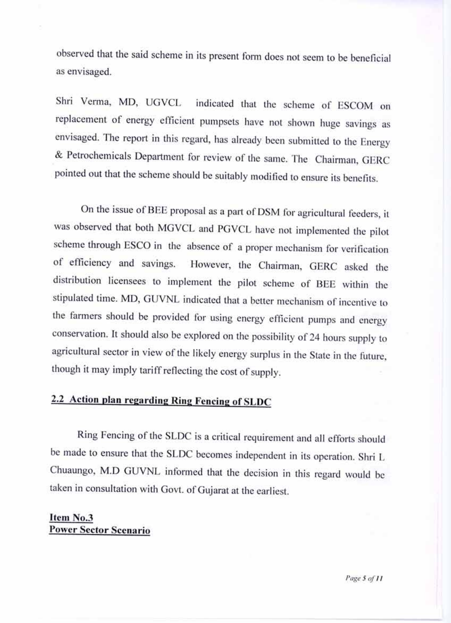observed that the said scheme in its present form does not seem to be beneficial as envisaged.

Shri Verma, MD, UGVCL indicated that the scheme of ESCOM on replacement of energy efficient pumpsets have not shown huge savings as envisaged. The report in this regard, has already been submitted to the Energy & Petrochemicals Department for review of the same. The Chairman, GERC pointed out that the scheme should be suitably modified to ensure its benefits.

On the issue of BEE proposal as a part of DSM for agricultural feeders, it was observed that both MGVCL and PGVCL have not implemented the pilot scheme through ESCO in the absence of a proper mechanism for verification of efficiency and savings. However, the Chairman, GERC asked the distribution licensees to implement the pilot scheme of BEE within the stipulated time. MD, GUVNL indicated that a better mechanism of incentive to the farmers should be provided for using energy efficient pumps and energy conservation. It should also be explored on the possibility of 24 hours supply to agricultural sector in view of the likely energy surplus in the State in the future, though it may imply tariff reflecting the cost of supply.

# **2.2 Action plan regarding Ring Fencing of SLDC**

Ring Fencing of the SLDC is a critical requirement and all efforts should be made to ensure that the SLDC becomes independent in its operation. Shri L Chuaungo, M.D GUVNL informed that the decision in this regard would be taken in consultation with Govt. of Gujarat at the earliest.

# **Item No.3 Power Sector Scenario**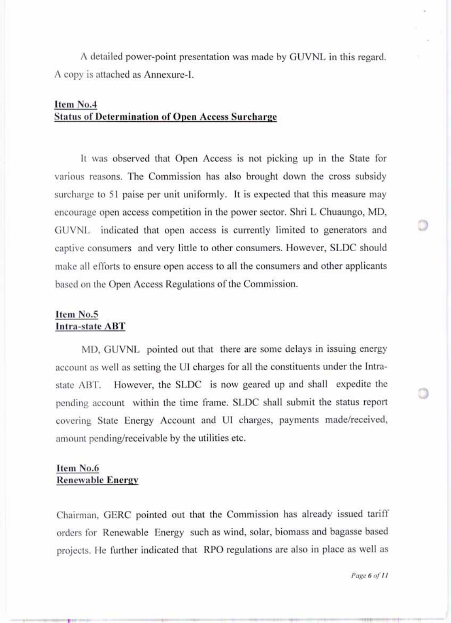A detailed power-point presentation was made by GUVNL in this regard. A copy is attached as Annexure-I.

# **Item No.4 Status of Determination of Open Access Surcharge**

It was observed that Open Access is not picking up in the State for various reasons. The Commission has also brought down the cross subsidy surcharge to 51 paise per unit uniformly. It is expected that this measure may encourage open access competition in the power sector. Shri L Chuaungo, MD, GUVNL indicated that open access is currently limited to generators and captive consumers and very little to other consumers. However, SLDC should make all efforts to ensure open access to all the consumers and other applicants based on the Open Access Regulations of the Commission.

### **Item No.5 Intra-state ABT**

MD, GUVNL pointed out that there are some delays in issuing energy account as well as setting the UI charges for all the constituents under the Intrastate ABT. However, the SLDC is now geared up and shall expedite the pending account within the time frame. SLDC shall submit the status report covering State Energy Account and UI charges, payments made/received, amount pending/receivable by the utilities etc.

## **Item No.6 Renewable Energy**

Chairman, GERC pointed out that the Commission has already issued tariff orders for Renewable Energy such as wind, solar, biomass and bagasse based projects. He further indicated that RPO regulations are also in place as well as

*Page 6 of 11*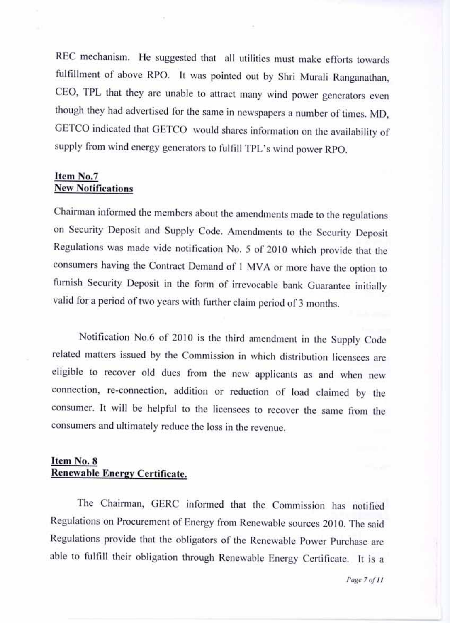REC mechanism. He suggested that all utilities must make efforts towards fulfillment of above RPO. It was pointed out by Shri Murali Ranganathan, CEO, TPL that they are unable to attract many wind power generators even though they had advertised for the same in newspapers a number of times. MD, GETCO indicated that GETCO would shares information on the availability of supply from wind energy generators to fulfill TPL's wind power RPO.

## **Item No.7 New Notifications**

Chairman informed the members about the amendments made to the regulations on Security Deposit and Supply Code. Amendments to the Security Deposit Regulations was made vide notification No. 5 of 2010 which provide that the consumers having the Contract Demand of 1 MVA or more have the option to furnish Security Deposit in the form of irrevocable bank Guarantee initially valid for a period of two years with further claim period of 3 months.

Notification No.6 of 2010 is the third amendment in the Supply Code related matters issued by the Commission in which distribution licensees are eligible to recover old dues from the new applicants as and when new connection, re-connection, addition or reduction of load claimed by the consumer. It will be helpful to the licensees to recover the same from the consumers and ultimately reduce the loss in the revenue.

# Item No. 8 Renewable Energy Certificate.

The Chairman, GERC informed that the Commission has notified Regulations on Procurement of Energy from Renewable sources 2010. The said Regulations provide that the obligators of the Renewable Power Purchase are able to fulfill their obligation through Renewable Energy Certificate. It is a

*Page 7 of 11*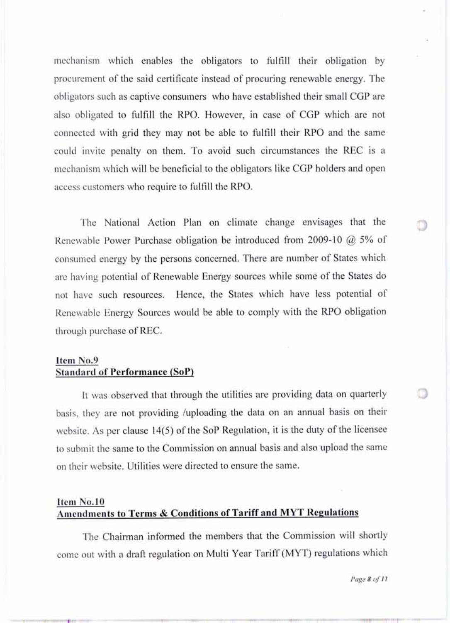mechanism which enables the obligators to fulfill their obligation by procurement of the said certificate instead of procuring renewable energy. The obligators such as captive consumers who have established their small CGP are also obligated to fulfill the RPO. However, in case of CGP which are not connected with grid they may not be able to fulfill their RPO and the same could invite penalty on them. To avoid such circumstances the REC is a mechanism which will be beneficial to the obligators like CGP holders and open access customers who require to fulfill the RPO.

The National Action Plan on climate change envisages that the Renewable Power Purchase obligation be introduced from 2009-10 @ 5% of consumed energy by the persons concerned. There are number of States which are having potential of Renewable Energy sources while some of the States do not have such resources. Hence, the States which have less potential of Renewable Energy Sources would be able to comply with the RPO obligation through purchase of REC.

# **Item No.9 Standard of Performance (SoP)**

It was observed that through the utilities are providing data on quarterly basis, they are not providing /uploading the data on an annual basis on their website. As per clause 14(5) of the SoP Regulation, it is the duty of the licensee to submit the same to the Commission on annual basis and also upload the same on their website. Utilities were directed to ensure the same.

## **Item No.10 Amendments to Terms & Conditions of Tariff and MYT Regulations**

The Chairman informed the members that the Commission will shortly come out with a draft regulation on Multi Year Tariff (MYT) regulations which

*Page 8 of 11* 

044.r. ■ 4.14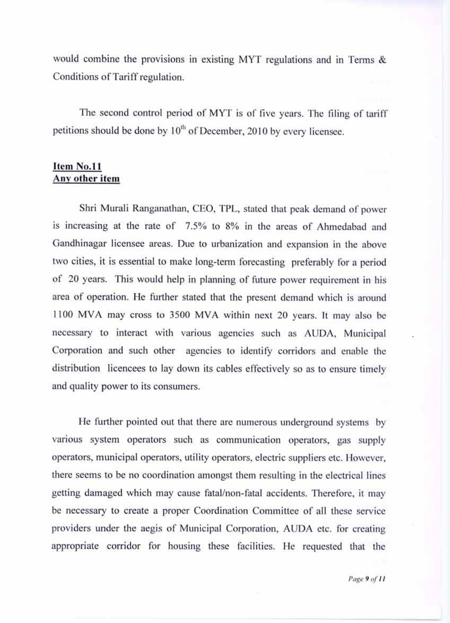would combine the provisions in existing MYT regulations and in Terms & Conditions of Tariff regulation.

The second control period of MYT is of five years. The filing of tariff petitions should be done by  $10^{th}$  of December, 2010 by every licensee.

#### **Item No.11 Any other item**

Shri Murali Ranganathan, CEO, TPL, stated that peak demand of power is increasing at the rate of 7.5% to 8% in the areas of Ahmedabad and Gandhinagar licensee areas. Due to urbanization and expansion in the above two cities, it is essential to make long-term forecasting preferably for a period of 20 years. This would help in planning of future power requirement in his area of operation. He further stated that the present demand which is around 1100 MVA may cross to 3500 MVA within next 20 years. It may also be necessary to interact with various agencies such as AUDA, Municipal Corporation and such other agencies to identify corridors and enable the distribution licencees to lay down its cables effectively so as to ensure timely and quality power to its consumers.

He further pointed out that there are numerous underground systems by various system operators such as communication operators, gas supply operators, municipal operators, utility operators, electric suppliers etc. However, there seems to be no coordination amongst them resulting in the electrical lines getting damaged which may cause fatal/non-fatal accidents. Therefore, it may be necessary to create a proper Coordination Committee of all these service providers under the aegis of Municipal Corporation, AUDA etc. for creating appropriate corridor for housing these facilities. He requested that the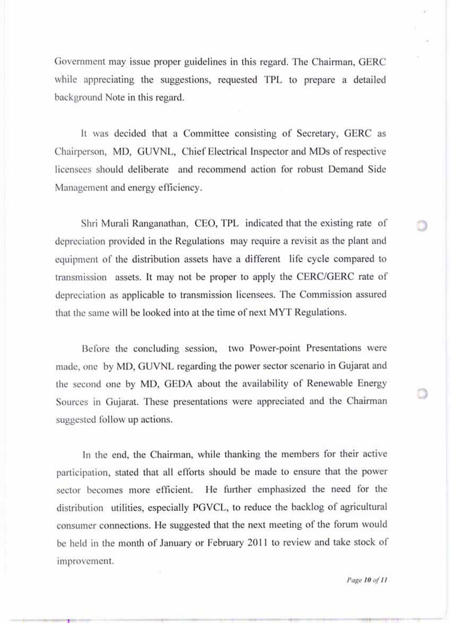Government may issue proper guidelines in this regard. The Chairman, GERC while appreciating the suggestions, requested TPL to prepare a detailed background Note in this regard.

It was decided that a Committee consisting of Secretary, GERC as Chairperson, MD, GUVNL, Chief Electrical Inspector and MDs of respective licensees should deliberate and recommend action for robust Demand Side Management and energy efficiency.

Shri Murali Ranganathan, CEO, TPL indicated that the existing rate of depreciation provided in the Regulations may require a revisit as the plant and equipment of the distribution assets have a different life cycle compared to transmission assets. It may not be proper to apply the CERC/GERC rate of depreciation as applicable to transmission licensees. The Commission assured that the same will be looked into at the time of next MYT Regulations.

Before the concluding session, two Power-point Presentations were made, one by MD, GUVNL regarding the power sector scenario in Gujarat and the second one by MD, GEDA about the availability of Renewable Energy Sources in Gujarat. These presentations were appreciated and the Chairman suggested follow up actions.

In the end, the Chairman, while thanking the members for their active participation, stated that all efforts should be made to ensure that the power sector becomes more efficient. He further emphasized the need for the distribution utilities, especially PGVCL, to reduce the backlog of agricultural consumer connections. He suggested that the next meeting of the forum would be held in the month of January or February 2011 to review and take stock of improvement.

*Page 10 of 11*